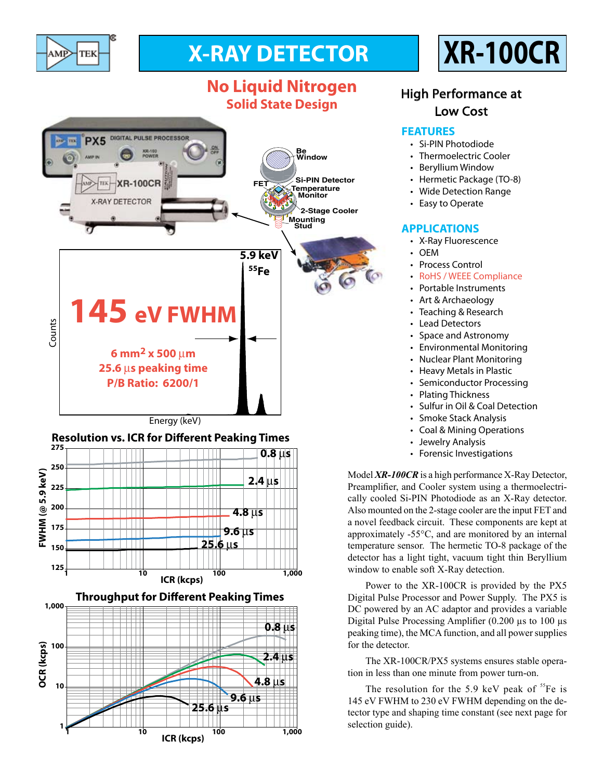

**1,000**

**200**

**175 150**

**125**

**100**

**OCR (kcps)**

**OCR** (kcps)

**10**

**1**

# **X-RAY DETECTOR XR-100CR**

## **No Liquid Nitrogen Solid State Design**



**ICR (kcps) 1 10 100 1,000**

**Throughput for Different Peaking Times**

**4.8** µ**s**

**2.4** µ**s**

**0.8** µ**s**

**4.8** µ**s**

**9.6** µ**s**

**25.6** µ**s**

**1 10 100 1,000 ICR (kcps)**

**9.6** µ**s**

**25.6** µ**s**

### High Performance at Low Cost

### **FEATURES**

- • Si-PIN Photodiode
- Thermoelectric Cooler
- • Beryllium Window
- Hermetic Package (TO-8)
- Wide Detection Range
- Easy to Operate

#### **APPLICATIONS**

- • X-Ray Fluorescence
- • OEM
- Process Control
- RoHS / WEEE Compliance
- Portable Instruments
- Art & Archaeology
- Teaching & Research
- **Lead Detectors**
- Space and Astronomy
- • Environmental Monitoring
- • Nuclear Plant Monitoring
- Heavy Metals in Plastic
- Semiconductor Processing
- Plating Thickness
- • Sulfur in Oil & Coal Detection
- Smoke Stack Analysis
- • Coal & Mining Operations
- Jewelry Analysis
- Forensic Investigations

Model *XR-100CR* is a high performance X-Ray Detector, Preamplifier, and Cooler system using a thermoelectrically cooled Si-PIN Photodiode as an X-Ray detector. Also mounted on the 2-stage cooler are the input FET and a novel feedback circuit. These components are kept at approximately -55°C, and are monitored by an internal temperature sensor. The hermetic TO-8 package of the detector has a light tight, vacuum tight thin Beryllium window to enable soft X-Ray detection.

Power to the XR-100CR is provided by the PX5 Digital Pulse Processor and Power Supply. The PX5 is DC powered by an AC adaptor and provides a variable Digital Pulse Processing Amplifier (0.200 µs to 100 µs peaking time), the MCA function, and all power supplies for the detector.

The XR-100CR/PX5 systems ensures stable operation in less than one minute from power turn-on.

The resolution for the 5.9 keV peak of  ${}^{55}Fe$  is 145 eV FWHM to 230 eV FWHM depending on the detector type and shaping time constant (see next page for selection guide).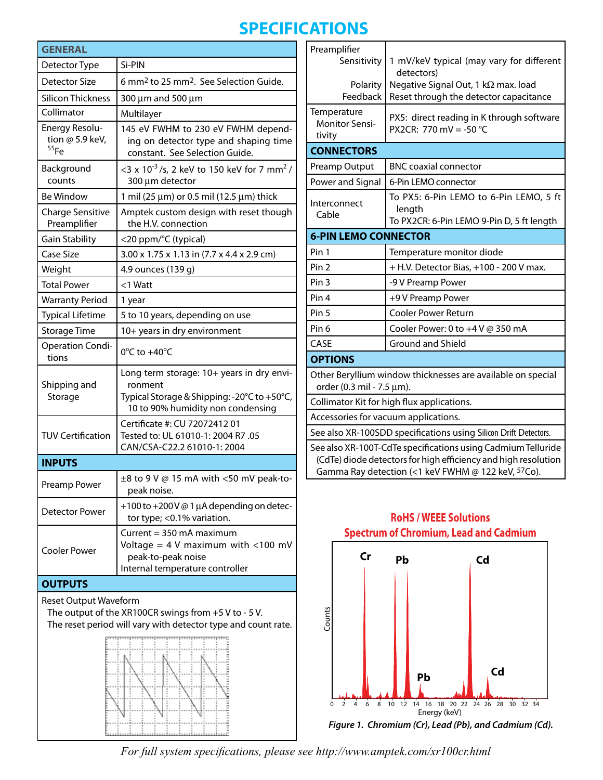# **SPECIFICATIONS**

| <b>GENERAL</b>                                                                                                                                          |                                                                                                                                          |  |
|---------------------------------------------------------------------------------------------------------------------------------------------------------|------------------------------------------------------------------------------------------------------------------------------------------|--|
| Detector Type                                                                                                                                           | Si-PIN                                                                                                                                   |  |
| Detector Size                                                                                                                                           | 6 mm <sup>2</sup> to 25 mm <sup>2</sup> . See Selection Guide.                                                                           |  |
| <b>Silicon Thickness</b>                                                                                                                                | 300 µm and 500 µm                                                                                                                        |  |
| Collimator                                                                                                                                              | Multilayer                                                                                                                               |  |
| Energy Resolu-<br>tion @ 5.9 keV,<br>55Fe                                                                                                               | 145 eV FWHM to 230 eV FWHM depend-<br>ing on detector type and shaping time<br>constant. See Selection Guide.                            |  |
| Background<br>counts                                                                                                                                    | <3 x 10 <sup>-3</sup> /s, 2 keV to 150 keV for 7 mm <sup>2</sup> /<br>300 µm detector                                                    |  |
| <b>Be Window</b>                                                                                                                                        | 1 mil (25 $\mu$ m) or 0.5 mil (12.5 $\mu$ m) thick                                                                                       |  |
| <b>Charge Sensitive</b><br>Preamplifier                                                                                                                 | Amptek custom design with reset though<br>the H.V. connection                                                                            |  |
| Gain Stability                                                                                                                                          | <20 ppm/°C (typical)                                                                                                                     |  |
| Case Size                                                                                                                                               | 3.00 x 1.75 x 1.13 in (7.7 x 4.4 x 2.9 cm)                                                                                               |  |
| Weight                                                                                                                                                  | 4.9 ounces (139 g)                                                                                                                       |  |
| <b>Total Power</b>                                                                                                                                      | $<$ 1 Watt                                                                                                                               |  |
| <b>Warranty Period</b>                                                                                                                                  | 1 year                                                                                                                                   |  |
| <b>Typical Lifetime</b>                                                                                                                                 | 5 to 10 years, depending on use                                                                                                          |  |
| <b>Storage Time</b>                                                                                                                                     | 10+ years in dry environment                                                                                                             |  |
| <b>Operation Condi-</b><br>tions                                                                                                                        | $0^{\circ}$ C to +40 $^{\circ}$ C                                                                                                        |  |
| Shipping and<br>Storage                                                                                                                                 | Long term storage: 10+ years in dry envi-<br>ronment<br>Typical Storage & Shipping: -20°C to +50°C,<br>10 to 90% humidity non condensing |  |
| <b>TUV Certification</b>                                                                                                                                | Certificate #: CU 72072412 01<br>Tested to: UL 61010-1: 2004 R7 .05<br>CAN/CSA-C22.2 61010-1: 2004                                       |  |
| <b>INPUTS</b>                                                                                                                                           |                                                                                                                                          |  |
| Preamp Power                                                                                                                                            | ±8 to 9 V @ 15 mA with <50 mV peak-to-<br>peak noise.                                                                                    |  |
| Detector Power                                                                                                                                          | +100 to +200 V $@$ 1 µA depending on detec-<br>tor type; < 0.1% variation.                                                               |  |
| <b>Cooler Power</b>                                                                                                                                     | Current = $350$ mA maximum<br>Voltage = $4$ V maximum with <100 mV<br>peak-to-peak noise<br>Internal temperature controller              |  |
| <b>OUTPUTS</b>                                                                                                                                          |                                                                                                                                          |  |
| <b>Reset Output Waveform</b><br>The output of the XR100CR swings from $+5$ V to - 5 V.<br>The reset period will vary with detector type and count rate. |                                                                                                                                          |  |
|                                                                                                                                                         |                                                                                                                                          |  |

وسانسانسا سانسانسانسانسا والماسا

| Preamplifier                                                                                                                                                                         |                                                  |  |
|--------------------------------------------------------------------------------------------------------------------------------------------------------------------------------------|--------------------------------------------------|--|
| Sensitivity                                                                                                                                                                          | 1 mV/keV typical (may vary for different         |  |
|                                                                                                                                                                                      | detectors)                                       |  |
| Polarity                                                                                                                                                                             | Negative Signal Out, 1 k $\Omega$ max. load      |  |
| Feedback                                                                                                                                                                             | Reset through the detector capacitance           |  |
| Temperature                                                                                                                                                                          | PX5: direct reading in K through software        |  |
| <b>Monitor Sensi-</b><br>tivity                                                                                                                                                      | PX2CR: 770 mV = -50 °C                           |  |
| <b>CONNECTORS</b>                                                                                                                                                                    |                                                  |  |
|                                                                                                                                                                                      |                                                  |  |
| Preamp Output                                                                                                                                                                        | <b>BNC coaxial connector</b>                     |  |
| Power and Signal                                                                                                                                                                     | 6-Pin LEMO connector                             |  |
| Interconnect                                                                                                                                                                         | To PX5: 6-Pin LEMO to 6-Pin LEMO, 5 ft<br>length |  |
| Cable                                                                                                                                                                                | To PX2CR: 6-Pin LEMO 9-Pin D, 5 ft length        |  |
| <b>6-PIN LEMO CONNECTOR</b>                                                                                                                                                          |                                                  |  |
| Pin 1                                                                                                                                                                                | Temperature monitor diode                        |  |
| Pin <sub>2</sub>                                                                                                                                                                     | + H.V. Detector Bias, +100 - 200 V max.          |  |
| Pin <sub>3</sub>                                                                                                                                                                     | -9 V Preamp Power                                |  |
| Pin 4                                                                                                                                                                                | +9 V Preamp Power                                |  |
| Pin <sub>5</sub>                                                                                                                                                                     | <b>Cooler Power Return</b>                       |  |
| Pin <sub>6</sub>                                                                                                                                                                     | Cooler Power: 0 to +4 V @ 350 mA                 |  |
| CASE                                                                                                                                                                                 | <b>Ground and Shield</b>                         |  |
| <b>OPTIONS</b>                                                                                                                                                                       |                                                  |  |
| Other Beryllium window thicknesses are available on special                                                                                                                          |                                                  |  |
| order (0.3 mil - 7.5 µm).                                                                                                                                                            |                                                  |  |
| Collimator Kit for high flux applications.                                                                                                                                           |                                                  |  |
| Accessories for vacuum applications.                                                                                                                                                 |                                                  |  |
| See also XR-100SDD specifications using Silicon Drift Detectors.                                                                                                                     |                                                  |  |
| See also XR-100T-CdTe specifications using Cadmium Telluride<br>(CdTe) diode detectors for high efficiency and high resolution<br>Gamma Ray detection (<1 keV FWHM @ 122 keV, 57Co). |                                                  |  |



### **RoHS / WEEE Solutions Spectrum of Chromium, Lead and Cadmium**

*For full system specifications, please see http://www.amptek.com/xr100cr.html*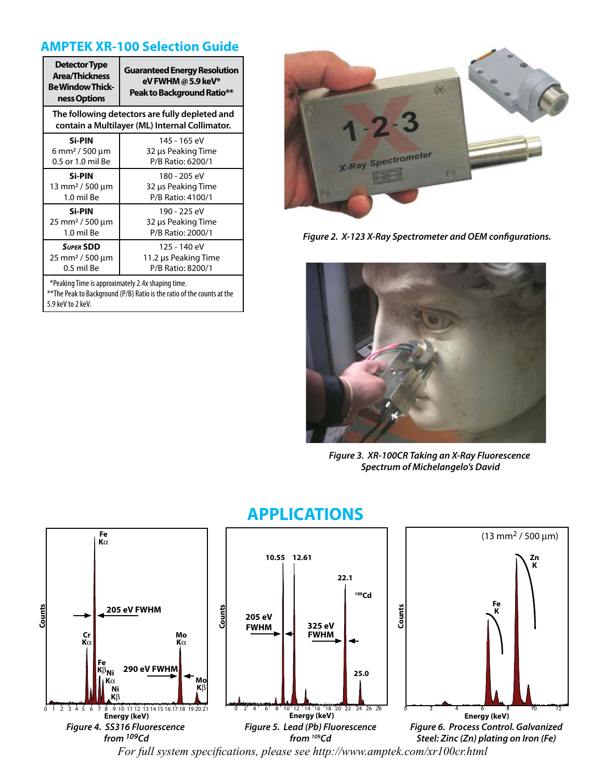### **AMPTEK XR-100 Selection Guide**

| <b>Detector Type</b><br><b>Area/Thickness</b><br><b>Be Window Thick-</b><br>ness Options         | <b>Guaranteed Energy Resolution</b><br>eV FWHM @ 5.9 keV*<br>Peak to Background Ratio** |  |  |
|--------------------------------------------------------------------------------------------------|-----------------------------------------------------------------------------------------|--|--|
| The following detectors are fully depleted and<br>contain a Multilayer (ML) Internal Collimator. |                                                                                         |  |  |
| <b>Si-PIN</b>                                                                                    | 145 - 165 eV                                                                            |  |  |
| 6 mm <sup>2</sup> / 500 µm                                                                       | 32 µs Peaking Time                                                                      |  |  |
| 0.5 or 1.0 mil Be                                                                                | P/B Ratio: 6200/1                                                                       |  |  |
| <b>Si-PIN</b>                                                                                    | 180 - 205 eV                                                                            |  |  |
| $13 \text{ mm}^2 / 500 \text{ µm}$                                                               | 32 µs Peaking Time                                                                      |  |  |
| 1.0 mil Be                                                                                       | P/B Ratio: 4100/1                                                                       |  |  |
| <b>Si-PIN</b>                                                                                    | 190 - 225 eV                                                                            |  |  |
| 25 mm <sup>2</sup> / 500 µm                                                                      | 32 µs Peaking Time                                                                      |  |  |
| 1.0 mil Be                                                                                       | P/B Ratio: 2000/1                                                                       |  |  |
| <b>SUPER SDD</b>                                                                                 | 125 - 140 eV                                                                            |  |  |
| 25 mm <sup>2</sup> / 500 µm                                                                      | 11.2 µs Peaking Time                                                                    |  |  |
| 0.5 mil Be                                                                                       | P/B Ratio: 8200/1                                                                       |  |  |
| *Peaking Time is approximately 2.4x shaping time.                                                |                                                                                         |  |  |

\*\*The Peak to Background (P/B) Ratio is the ratio of the counts at the 5.9 keV to 2 keV.



*Figure 2. X-123 X-Ray Spectrometer and OEM configurations.*



*Figure 3. XR-100CR Taking an X-Ray Fluorescence Spectrum of Michelangelo's David*



## **APPLICATIONS**